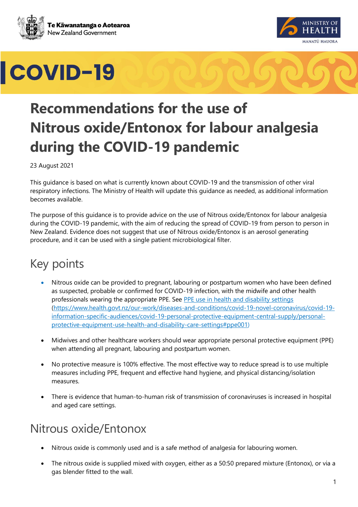





## **Recommendations for the use of Nitrous oxide/Entonox for labour analgesia during the COVID-19 pandemic**

23 August 2021

This guidance is based on what is currently known about COVID-19 and the transmission of other viral respiratory infections. The Ministry of Health will update this guidance as needed, as additional information becomes available.

The purpose of this guidance is to provide advice on the use of Nitrous oxide/Entonox for labour analgesia during the COVID-19 pandemic, with the aim of reducing the spread of COVID-19 from person to person in New Zealand. Evidence does not suggest that use of Nitrous oxide/Entonox is an aerosol generating procedure, and it can be used with a single patient microbiological filter.

## Key points

- Nitrous oxide can be provided to pregnant, labouring or postpartum women who have been defined as suspected, probable or confirmed for COVID-19 infection, with the midwife and other health professionals wearing the appropriate PPE. See [PPE use in health and disability settings](https://www.health.govt.nz/our-work/diseases-and-conditions/covid-19-novel-coronavirus/covid-19-information-specific-audiences/covid-19-personal-protective-equipment-central-supply/personal-protective-equipment-use-health-and-disability-care-settings#ppe001) [\(https://www.health.govt.nz/our-work/diseases-and-conditions/covid-19-novel-coronavirus/covid-19](https://www.health.govt.nz/our-work/diseases-and-conditions/covid-19-novel-coronavirus/covid-19-information-specific-audiences/covid-19-personal-protective-equipment-central-supply/personal-protective-equipment-use-health-and-disability-care-settings#ppe001) [information-specific-audiences/covid-19-personal-protective-equipment-central-supply/personal](https://www.health.govt.nz/our-work/diseases-and-conditions/covid-19-novel-coronavirus/covid-19-information-specific-audiences/covid-19-personal-protective-equipment-central-supply/personal-protective-equipment-use-health-and-disability-care-settings#ppe001)[protective-equipment-use-health-and-disability-care-settings#ppe001\)](https://www.health.govt.nz/our-work/diseases-and-conditions/covid-19-novel-coronavirus/covid-19-information-specific-audiences/covid-19-personal-protective-equipment-central-supply/personal-protective-equipment-use-health-and-disability-care-settings#ppe001)
- Midwives and other healthcare workers should wear appropriate personal protective equipment (PPE) when attending all pregnant, labouring and postpartum women.
- No protective measure is 100% effective. The most effective way to reduce spread is to use multiple measures including PPE, frequent and effective hand hygiene, and physical distancing/isolation measures.
- There is evidence that human-to-human risk of transmission of coronaviruses is increased in hospital and aged care settings.

## Nitrous oxide/Entonox

- Nitrous oxide is commonly used and is a safe method of analgesia for labouring women.
- The nitrous oxide is supplied mixed with oxygen, either as a 50:50 prepared mixture (Entonox), or via a gas blender fitted to the wall.